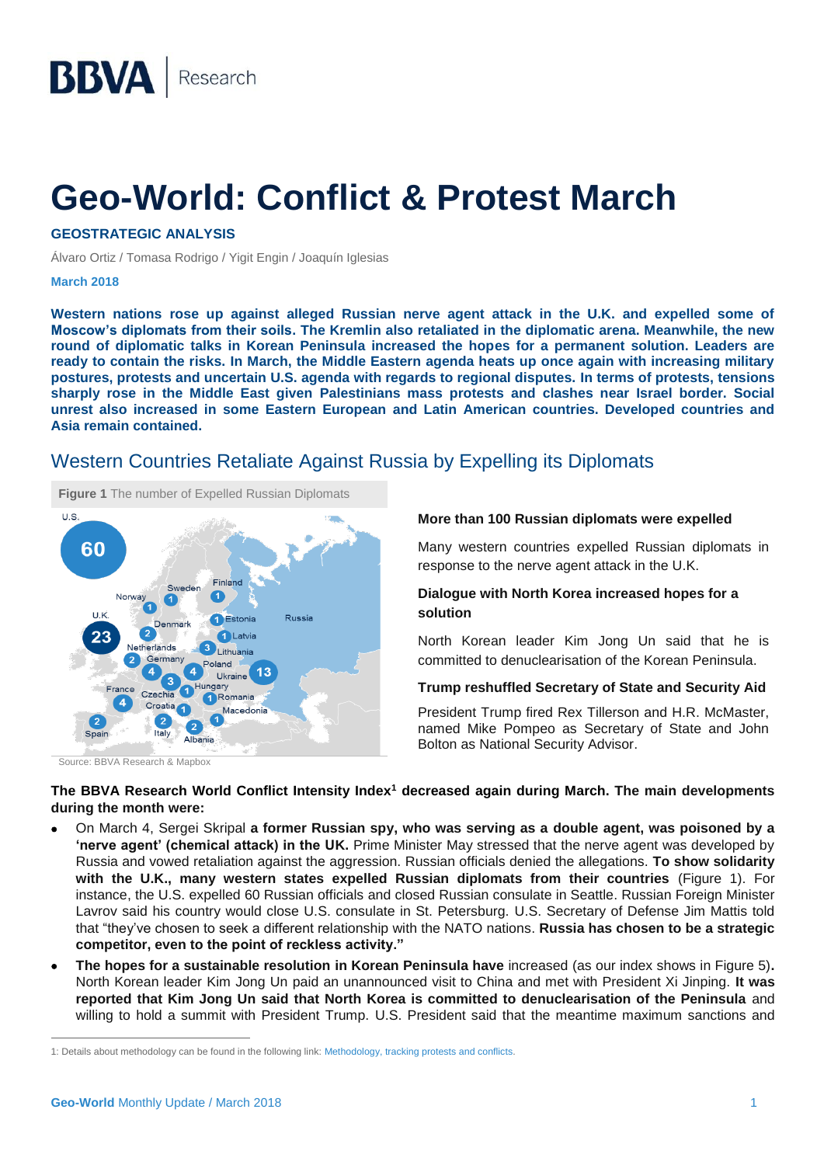## **Geo-World: Conflict & Protest March**

**GEOSTRATEGIC ANALYSIS**

Álvaro Ortiz / Tomasa Rodrigo / Yigit Engin / Joaquín Iglesias

#### **March 2018**

**Western nations rose up against alleged Russian nerve agent attack in the U.K. and expelled some of Moscow's diplomats from their soils. The Kremlin also retaliated in the diplomatic arena. Meanwhile, the new round of diplomatic talks in Korean Peninsula increased the hopes for a permanent solution. Leaders are ready to contain the risks. In March, the Middle Eastern agenda heats up once again with increasing military postures, protests and uncertain U.S. agenda with regards to regional disputes. In terms of protests, tensions sharply rose in the Middle East given Palestinians mass protests and clashes near Israel border. Social unrest also increased in some Eastern European and Latin American countries. Developed countries and Asia remain contained.** 

## Western Countries Retaliate Against Russia by Expelling its Diplomats



Source: BBVA Research & Mapbox

#### **More than 100 Russian diplomats were expelled**

Many western countries expelled Russian diplomats in response to the nerve agent attack in the U.K.

#### **Dialogue with North Korea increased hopes for a solution**

North Korean leader Kim Jong Un said that he is committed to denuclearisation of the Korean Peninsula.

#### **Trump reshuffled Secretary of State and Security Aid**

President Trump fired Rex Tillerson and H.R. McMaster, named Mike Pompeo as Secretary of State and John Bolton as National Security Advisor.

#### **The BBVA Research World Conflict Intensity Index<sup>1</sup> decreased again during March. The main developments during the month were:**

- On March 4, Sergei Skripal **a former Russian spy, who was serving as a double agent, was poisoned by a 'nerve agent' (chemical attack) in the UK.** Prime Minister May stressed that the nerve agent was developed by Russia and vowed retaliation against the aggression. Russian officials denied the allegations. **To show solidarity with the U.K., many western states expelled Russian diplomats from their countries** (Figure 1). For instance, the U.S. expelled 60 Russian officials and closed Russian consulate in Seattle. Russian Foreign Minister Lavrov said his country would close U.S. consulate in St. Petersburg. U.S. Secretary of Defense Jim Mattis told that "they've chosen to seek a different relationship with the NATO nations. **Russia has chosen to be a strategic competitor, even to the point of reckless activity."**
- **The hopes for a sustainable resolution in Korean Peninsula have** increased (as our index shows in Figure 5)**.** North Korean leader Kim Jong Un paid an unannounced visit to China and met with President Xi Jinping. **It was reported that Kim Jong Un said that North Korea is committed to denuclearisation of the Peninsula** and willing to hold a summit with President Trump. U.S. President said that the meantime maximum sanctions and

 $\overline{a}$ 

<sup>1:</sup> Details about methodology can be found in the following link[: Methodology, tracking protests and conflicts.](https://www.bbvaresearch.com/en/methodology-tracking-protests-and-conflicts-2/)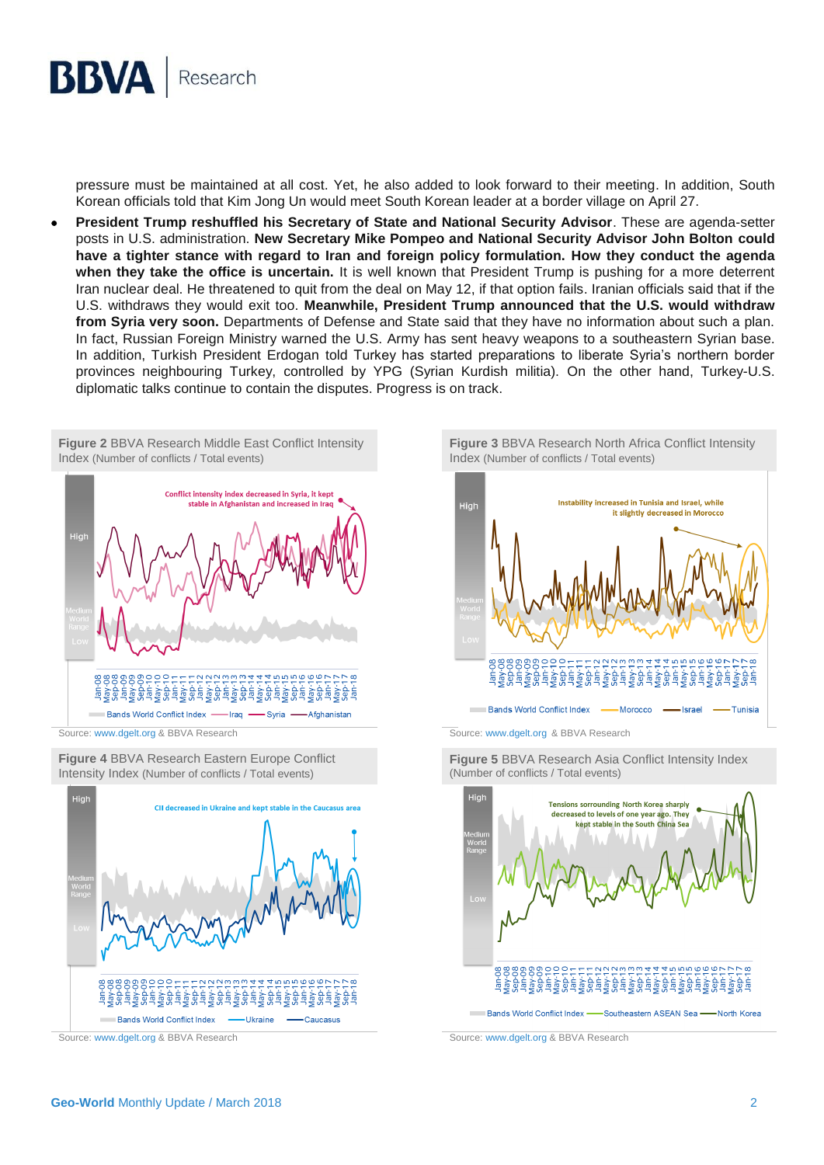

pressure must be maintained at all cost. Yet, he also added to look forward to their meeting. In addition, South Korean officials told that Kim Jong Un would meet South Korean leader at a border village on April 27.

 **President Trump reshuffled his Secretary of State and National Security Advisor**. These are agenda-setter posts in U.S. administration. **New Secretary Mike Pompeo and National Security Advisor John Bolton could have a tighter stance with regard to Iran and foreign policy formulation. How they conduct the agenda when they take the office is uncertain.** It is well known that President Trump is pushing for a more deterrent Iran nuclear deal. He threatened to quit from the deal on May 12, if that option fails. Iranian officials said that if the U.S. withdraws they would exit too. **Meanwhile, President Trump announced that the U.S. would withdraw from Syria very soon.** Departments of Defense and State said that they have no information about such a plan. In fact, Russian Foreign Ministry warned the U.S. Army has sent heavy weapons to a southeastern Syrian base. In addition, Turkish President Erdogan told Turkey has started preparations to liberate Syria's northern border provinces neighbouring Turkey, controlled by YPG (Syrian Kurdish militia). On the other hand, Turkey-U.S. diplomatic talks continue to contain the disputes. Progress is on track.

**Figure 2** BBVA Research Middle East Conflict Intensity Index (Number of conflicts / Total events)



Source[: www.dgelt.org](http://www.dgelt.org/) & BBVA Research Source: [www.dgelt.org](http://www.dgelt.org/) & BBVA Research

**Figure 4** BBVA Research Eastern Europe Conflict Intensity Index (Number of conflicts / Total events)



**Figure 3** BBVA Research North Africa Conflict Intensity Index (Number of conflicts / Total events)





**Figure 5** BBVA Research Asia Conflict Intensity Index (Number of conflicts / Total events)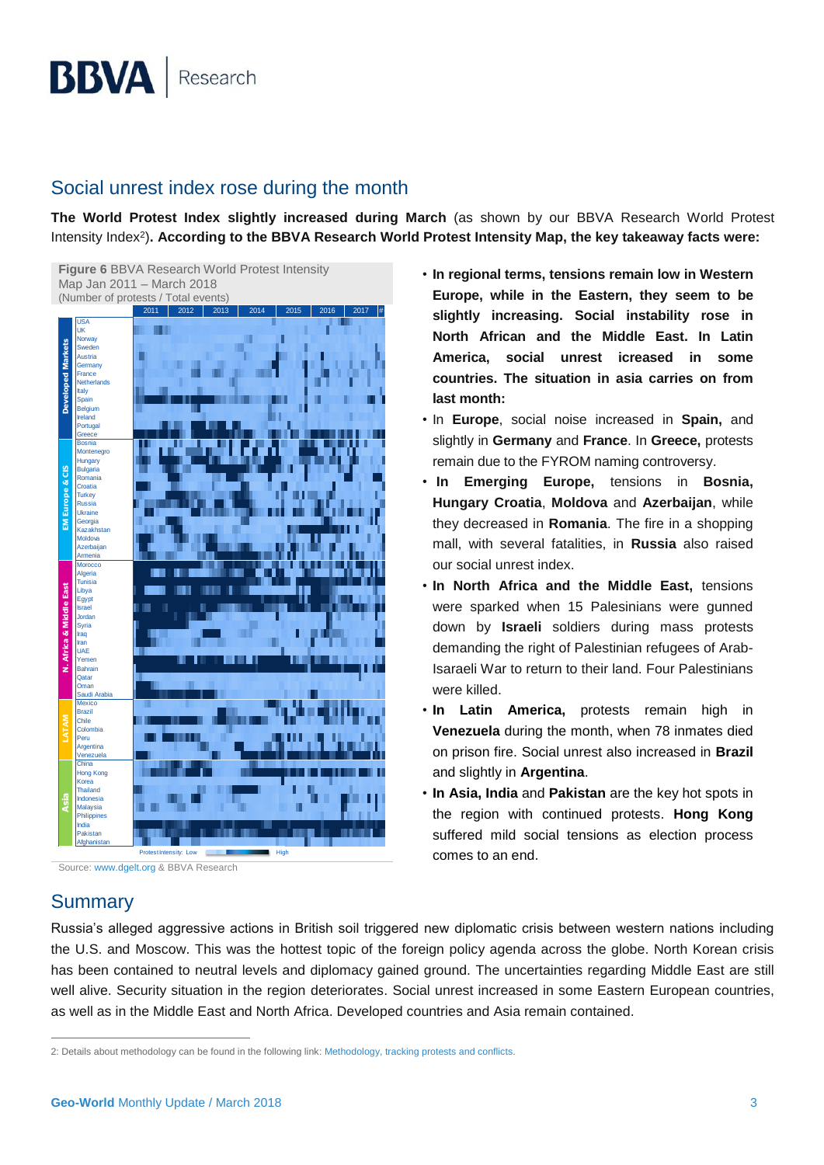## Social unrest index rose during the month

**The World Protest Index slightly increased during March** (as shown by our BBVA Research World Protest Intensity Index<sup>2</sup> )**. According to the BBVA Research World Protest Intensity Map, the key takeaway facts were:**



• **In regional terms, tensions remain low in Western Europe, while in the Eastern, they seem to be slightly increasing. Social instability rose in North African and the Middle East. In Latin America, social unrest icreased in some countries. The situation in asia carries on from last month:**

- In **Europe**, social noise increased in **Spain,** and slightly in **Germany** and **France**. In **Greece,** protests remain due to the FYROM naming controversy.
- **In Emerging Europe,** tensions in **Bosnia, Hungary Croatia**, **Moldova** and **Azerbaijan**, while they decreased in **Romania**. The fire in a shopping mall, with several fatalities, in **Russia** also raised our social unrest index.
- **In North Africa and the Middle East,** tensions were sparked when 15 Palesinians were gunned down by **Israeli** soldiers during mass protests demanding the right of Palestinian refugees of Arab-Isaraeli War to return to their land. Four Palestinians were killed.
- **In Latin America,** protests remain high in **Venezuela** during the month, when 78 inmates died on prison fire. Social unrest also increased in **Brazil** and slightly in **Argentina**.
- **In Asia, India** and **Pakistan** are the key hot spots in the region with continued protests. **Hong Kong** suffered mild social tensions as election process comes to an end.

Source[: www.dgelt.org](http://www.dgelt.org/) & BBVA Research

## **Summary**

 $\overline{a}$ 

Russia's alleged aggressive actions in British soil triggered new diplomatic crisis between western nations including the U.S. and Moscow. This was the hottest topic of the foreign policy agenda across the globe. North Korean crisis has been contained to neutral levels and diplomacy gained ground. The uncertainties regarding Middle East are still well alive. Security situation in the region deteriorates. Social unrest increased in some Eastern European countries, as well as in the Middle East and North Africa. Developed countries and Asia remain contained.

<sup>2:</sup> Details about methodology can be found in the following link[: Methodology, tracking protests and conflicts.](https://www.bbvaresearch.com/en/methodology-tracking-protests-and-conflicts-2/)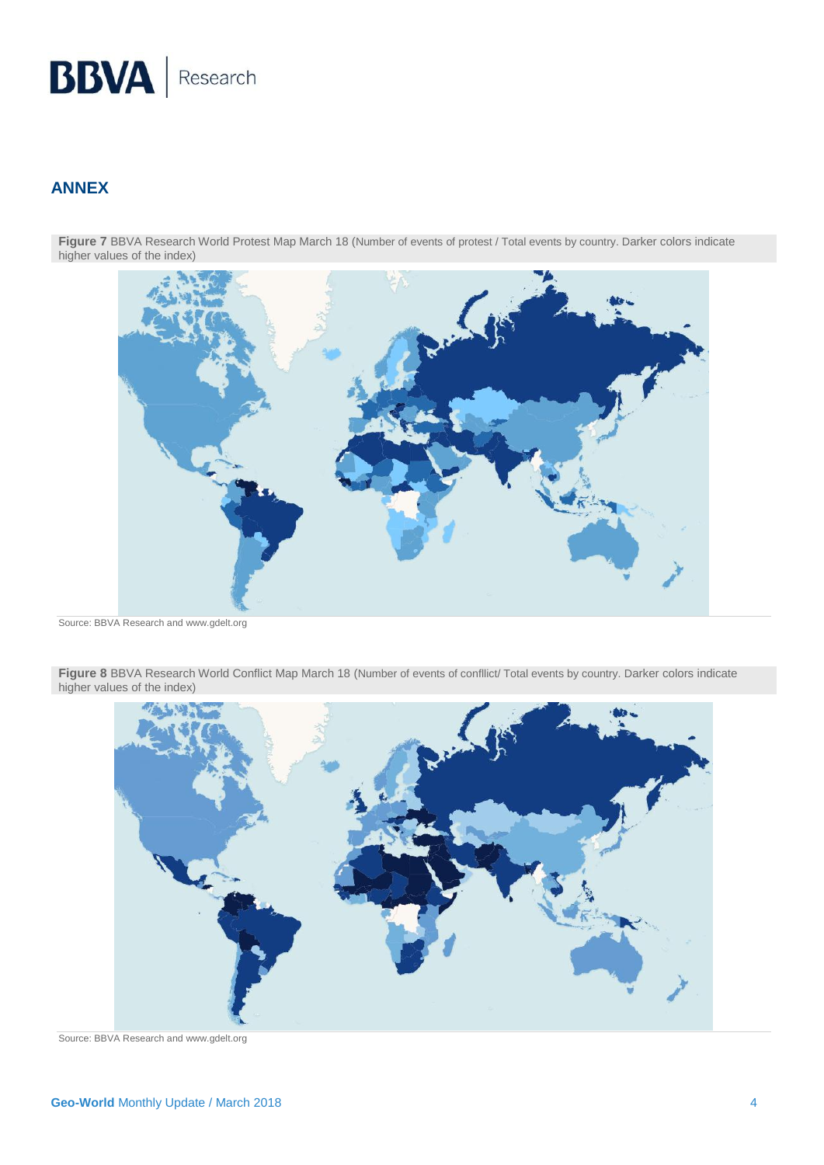# **BBVA** Research

## **ANNEX**

Figure 7 BBVA Research World Protest Map March 18 (Number of events of protest / Total events by country. Darker colors indicate higher values of the index)



Source: BBVA Research and www.gdelt.org

Figure 8 BBVA Research World Conflict Map March 18 (Number of events of confllict/ Total events by country. Darker colors indicate higher values of the index)



Source: BBVA Research and www.gdelt.org